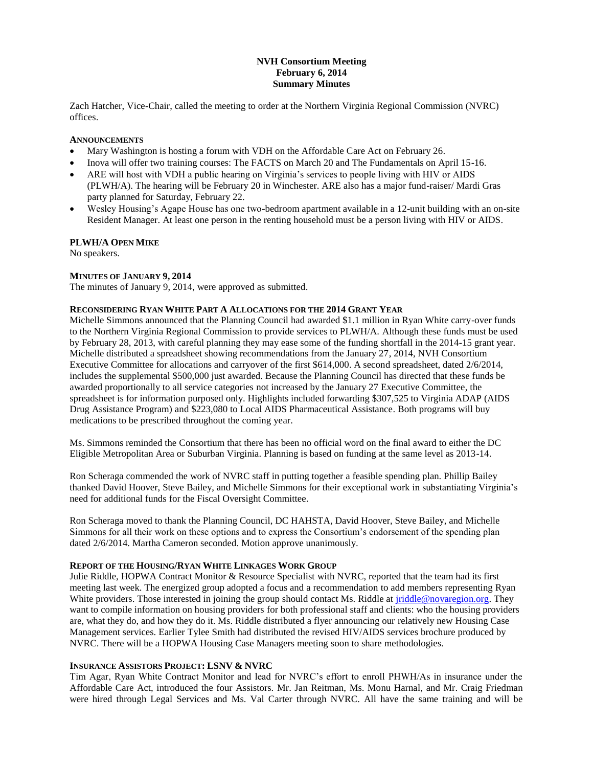# **NVH Consortium Meeting February 6, 2014 Summary Minutes**

Zach Hatcher, Vice-Chair, called the meeting to order at the Northern Virginia Regional Commission (NVRC) offices.

## **ANNOUNCEMENTS**

- Mary Washington is hosting a forum with VDH on the Affordable Care Act on February 26.
- Inova will offer two training courses: The FACTS on March 20 and The Fundamentals on April 15-16.
- ARE will host with VDH a public hearing on Virginia's services to people living with HIV or AIDS (PLWH/A). The hearing will be February 20 in Winchester. ARE also has a major fund-raiser/ Mardi Gras party planned for Saturday, February 22.
- Wesley Housing's Agape House has one two-bedroom apartment available in a 12-unit building with an on-site Resident Manager. At least one person in the renting household must be a person living with HIV or AIDS.

#### **PLWH/A OPEN MIKE**

No speakers.

#### **MINUTES OF JANUARY 9, 2014**

The minutes of January 9, 2014, were approved as submitted.

#### **RECONSIDERING RYAN WHITE PART A ALLOCATIONS FOR THE 2014 GRANT YEAR**

Michelle Simmons announced that the Planning Council had awarded \$1.1 million in Ryan White carry-over funds to the Northern Virginia Regional Commission to provide services to PLWH/A. Although these funds must be used by February 28, 2013, with careful planning they may ease some of the funding shortfall in the 2014-15 grant year. Michelle distributed a spreadsheet showing recommendations from the January 27, 2014, NVH Consortium Executive Committee for allocations and carryover of the first \$614,000. A second spreadsheet, dated 2/6/2014, includes the supplemental \$500,000 just awarded. Because the Planning Council has directed that these funds be awarded proportionally to all service categories not increased by the January 27 Executive Committee, the spreadsheet is for information purposed only. Highlights included forwarding \$307,525 to Virginia ADAP (AIDS Drug Assistance Program) and \$223,080 to Local AIDS Pharmaceutical Assistance. Both programs will buy medications to be prescribed throughout the coming year.

Ms. Simmons reminded the Consortium that there has been no official word on the final award to either the DC Eligible Metropolitan Area or Suburban Virginia. Planning is based on funding at the same level as 2013-14.

Ron Scheraga commended the work of NVRC staff in putting together a feasible spending plan. Phillip Bailey thanked David Hoover, Steve Bailey, and Michelle Simmons for their exceptional work in substantiating Virginia's need for additional funds for the Fiscal Oversight Committee.

Ron Scheraga moved to thank the Planning Council, DC HAHSTA, David Hoover, Steve Bailey, and Michelle Simmons for all their work on these options and to express the Consortium's endorsement of the spending plan dated 2/6/2014. Martha Cameron seconded. Motion approve unanimously.

#### **REPORT OF THE HOUSING/RYAN WHITE LINKAGES WORK GROUP**

Julie Riddle, HOPWA Contract Monitor & Resource Specialist with NVRC, reported that the team had its first meeting last week. The energized group adopted a focus and a recommendation to add members representing Ryan White providers. Those interested in joining the group should contact Ms. Riddle at [jriddle@novaregion.org.](mailto:jriddle@novaregion.org) They want to compile information on housing providers for both professional staff and clients: who the housing providers are, what they do, and how they do it. Ms. Riddle distributed a flyer announcing our relatively new Housing Case Management services. Earlier Tylee Smith had distributed the revised HIV/AIDS services brochure produced by NVRC. There will be a HOPWA Housing Case Managers meeting soon to share methodologies.

## **INSURANCE ASSISTORS PROJECT: LSNV & NVRC**

Tim Agar, Ryan White Contract Monitor and lead for NVRC's effort to enroll PHWH/As in insurance under the Affordable Care Act, introduced the four Assistors. Mr. Jan Reitman, Ms. Monu Harnal, and Mr. Craig Friedman were hired through Legal Services and Ms. Val Carter through NVRC. All have the same training and will be